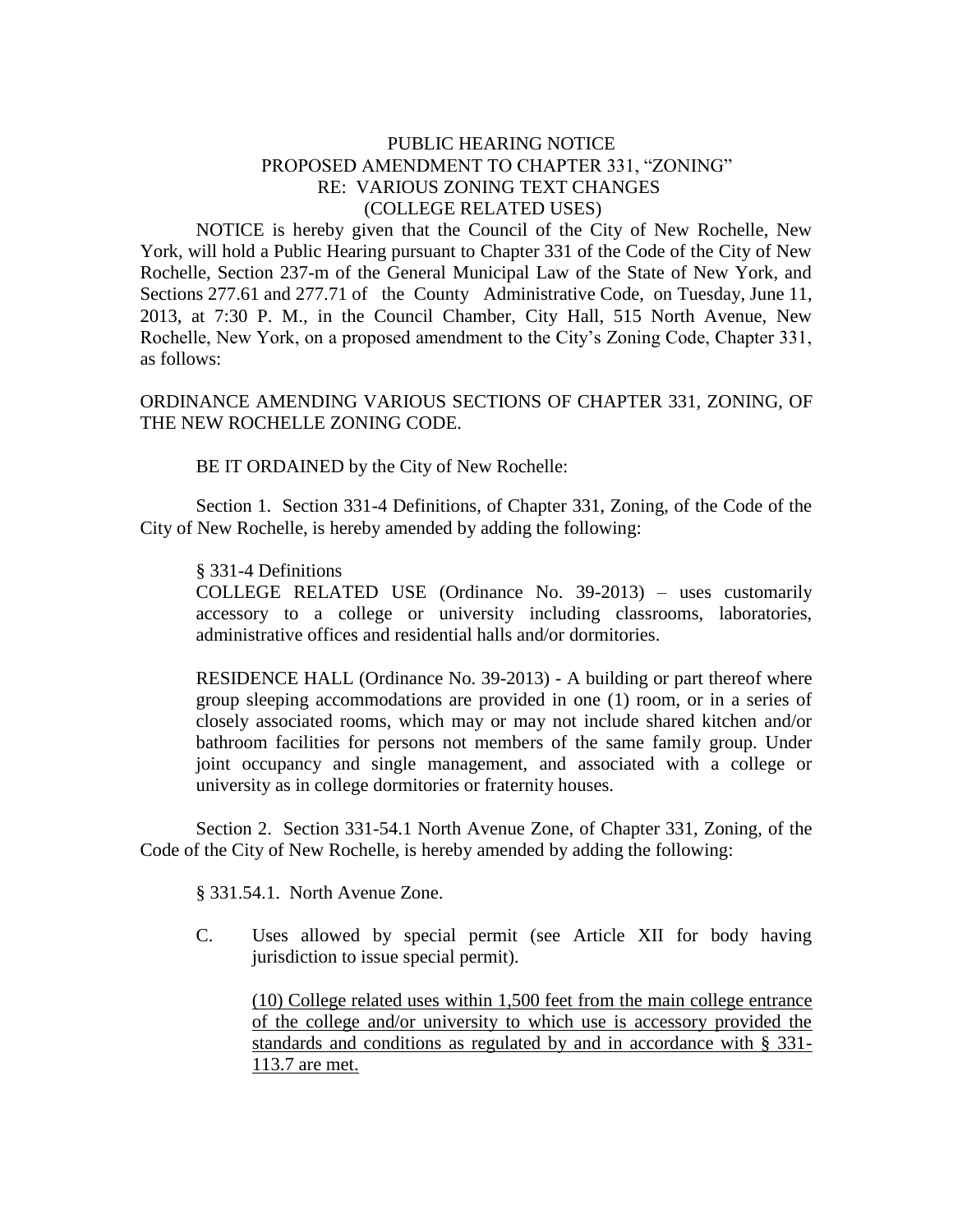## PUBLIC HEARING NOTICE PROPOSED AMENDMENT TO CHAPTER 331, "ZONING" RE: VARIOUS ZONING TEXT CHANGES (COLLEGE RELATED USES)

NOTICE is hereby given that the Council of the City of New Rochelle, New York, will hold a Public Hearing pursuant to Chapter 331 of the Code of the City of New Rochelle, Section 237-m of the General Municipal Law of the State of New York, and Sections 277.61 and 277.71 of the County Administrative Code, on Tuesday, June 11, 2013, at 7:30 P. M., in the Council Chamber, City Hall, 515 North Avenue, New Rochelle, New York, on a proposed amendment to the City's Zoning Code, Chapter 331, as follows:

ORDINANCE AMENDING VARIOUS SECTIONS OF CHAPTER 331, ZONING, OF THE NEW ROCHELLE ZONING CODE.

BE IT ORDAINED by the City of New Rochelle:

Section 1. Section 331-4 Definitions, of Chapter 331, Zoning, of the Code of the City of New Rochelle, is hereby amended by adding the following:

## § 331-4 Definitions

COLLEGE RELATED USE (Ordinance No. 39-2013) – uses customarily accessory to a college or university including classrooms, laboratories, administrative offices and residential halls and/or dormitories.

RESIDENCE HALL (Ordinance No. 39-2013) - A building or part thereof where group sleeping accommodations are provided in one (1) room, or in a series of closely associated rooms, which may or may not include shared kitchen and/or bathroom facilities for persons not members of the same family group. Under joint occupancy and single management, and associated with a college or university as in college dormitories or fraternity houses.

Section 2. Section 331-54.1 North Avenue Zone, of Chapter 331, Zoning, of the Code of the City of New Rochelle, is hereby amended by adding the following:

§ 331.54.1. North Avenue Zone.

C. Uses allowed by special permit (see Article XII for body having jurisdiction to issue special permit).

(10) College related uses within 1,500 feet from the main college entrance of the college and/or university to which use is accessory provided the standards and conditions as regulated by and in accordance with § 331- 113.7 are met.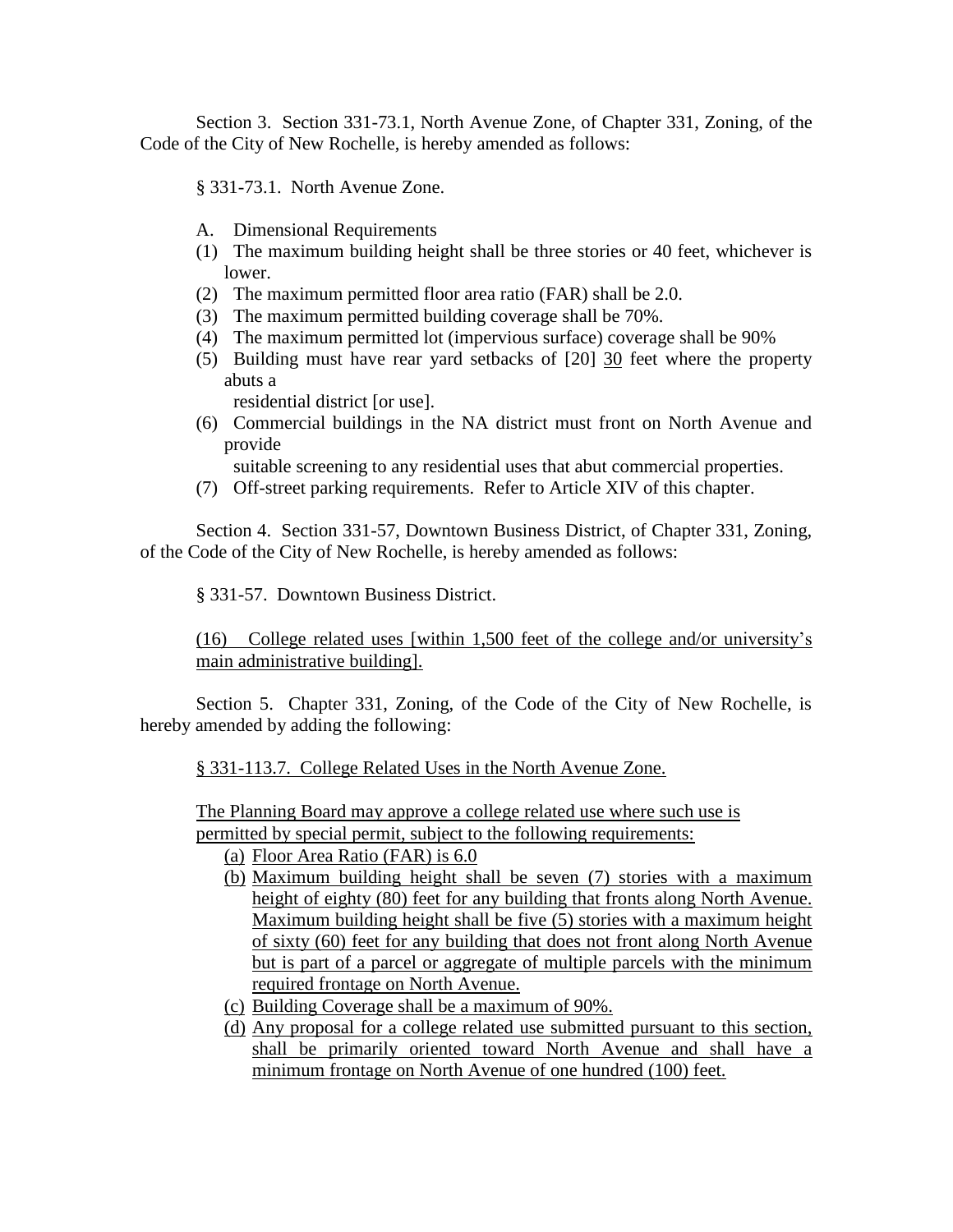Section 3. Section 331-73.1, North Avenue Zone, of Chapter 331, Zoning, of the Code of the City of New Rochelle, is hereby amended as follows:

§ 331-73.1. North Avenue Zone.

- A. Dimensional Requirements
- (1) The maximum building height shall be three stories or 40 feet, whichever is lower.
- (2) The maximum permitted floor area ratio (FAR) shall be 2.0.
- (3) The maximum permitted building coverage shall be 70%.
- (4) The maximum permitted lot (impervious surface) coverage shall be 90%
- (5) Building must have rear yard setbacks of [20] 30 feet where the property abuts a

residential district [or use].

(6) Commercial buildings in the NA district must front on North Avenue and provide

suitable screening to any residential uses that abut commercial properties.

(7) Off-street parking requirements. Refer to Article XIV of this chapter.

Section 4. Section 331-57, Downtown Business District, of Chapter 331, Zoning, of the Code of the City of New Rochelle, is hereby amended as follows:

§ 331-57. Downtown Business District.

(16) College related uses [within 1,500 feet of the college and/or university's main administrative building].

Section 5. Chapter 331, Zoning, of the Code of the City of New Rochelle, is hereby amended by adding the following:

§ 331-113.7. College Related Uses in the North Avenue Zone.

The Planning Board may approve a college related use where such use is permitted by special permit, subject to the following requirements:

- (a) Floor Area Ratio (FAR) is 6.0
- (b) Maximum building height shall be seven (7) stories with a maximum height of eighty (80) feet for any building that fronts along North Avenue. Maximum building height shall be five (5) stories with a maximum height of sixty (60) feet for any building that does not front along North Avenue but is part of a parcel or aggregate of multiple parcels with the minimum required frontage on North Avenue.
- (c) Building Coverage shall be a maximum of 90%.
- (d) Any proposal for a college related use submitted pursuant to this section, shall be primarily oriented toward North Avenue and shall have a minimum frontage on North Avenue of one hundred (100) feet.